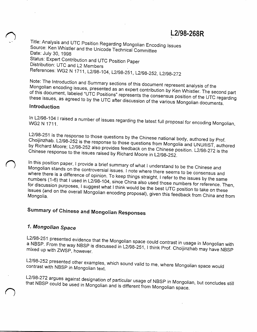L2/98-268R

Title: Analysis and UTC Position Regarding Mongolian Encoding Issues Source: Ken Whistler and the Unicode Technical Committee Date: July 30, 1998 Status: Expert Contribution and UTC Position Paper Distribution: UTC and L2 Members References: WG2 N 1711, L2/98-104, L2/98-251, L2/98-252, L2/98-272

Note: The Introduction and Summary sections of this document represent analysis of the Mongolian encoding issues, presented as an expert contribution by Ken Whistler. The second part of this document, labeled "UTC Positions" represents the consensus position of the UTC regarding these issues, as agreed to by the UTC after discussion of the various Mongolian documents.

#### Introduction

In L2/98-104 I raised a number of issues regarding the latest full proposal for encoding Mongolian, WG2 N 1711.

L2/98-251 is the response to those questions by the Chinese national body, authored by Prof. Choijinzhab. L2/98-252 is the response to those questions from Mongolia and UNU/IIST, authored by Richard Moore; L2/98-252 also provides feedback on the Chinese position. L2/98-272 is the Chinese response to the issues raised by Richard Moore in L2/98-252.

In this position paper, I provide a brief summary of what I understand to be the Chinese and Mongolian stands on the controversial issues. I note where there seems to be consensus and where there is a difference of opinion. To keep things straight, I refer to the issues by the same numbers (1-6) that I used in L2/98-104, since China also used those numbers for reference. Then, for discussion purposes, I suggest what I think would be the best UTC position to take on these issues (and on the overall Mongolian encoding proposal), given this feedback from China and from

# Summary of Chinese and Mongolian Responses

## 1. Mongolian Space

L2/98-251 presented evidence that the Mongolian space could contrast in usage in Mongolian with a NBSP. From the way NBSP is discussed in L2/98-251, I think Prof. Choijinzhab may have NBSP mixed up with ZWSP, however.

L2/98-252 presented other examples, which sound valid to me, where Mongolian space would contrast with NBSP in Mongolian text.

L2/98-272 argues against designation of particular usage of NBSP in Mongolian, but concludes still that NBSP could be used in Mongolian and is different from Mongolian space.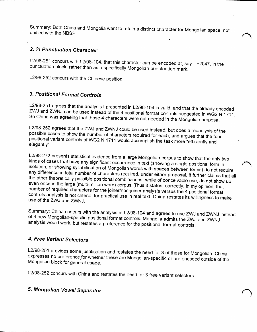Summary: Both China and Mongolia want to retain a distinct character for Mongolian space not unified with the NBSP.  $k$  ,  $k$  ,  $k$  ,  $k$  ,  $k$  ,  $k$  ,  $k$  ,  $k$  ,  $k$  ,  $k$  ,  $k$  ,  $k$  ,  $k$  ,  $k$  ,  $k$  ,  $k$  ,  $k$  ,  $k$  ,  $k$  ,  $k$  ,  $k$  ,  $k$  ,  $k$  ,  $k$  ,  $k$  ,  $k$  ,  $k$  ,  $k$  ,  $k$  ,  $k$  ,  $k$  ,  $k$  ,  $k$  ,

#### **2.** *?! Punctuation Character*

L2/98-251 concurs with L2/98-104, that this character can be encoded at, say U+2047 in the punctuation block, rather than as a specifically Mongolian punctuation mark.

L2/98-252 concurs with the Chinese position.

#### *3. Positional Format Controls*

L2/98-251 agrees that the analysis I presented in L2/98-104 is valid, and that the already encoded ZWJ and ZWNJ can be used instead of the 4 positional format controls suggested in WG2 N 1711. So China was agreeing that those 4 characters were not needed in the Mongolian proposal.

L2/98-252 agrees that the ZWJ and ZWNJ could be used instead, but does a reanalysis of the possible cases to show the number of characters required for each, and argues that the four positional variant controls of WG2 N 1711 would accomplish the task more "efficiently and elegantly . *^*

L2/98-272 presents statistical evidence from a large Mongolian corpus to show that the only two kinds of cases that have any significant occurrence in text (showing a single positional form in isolation, or showing syllabification of Mongolian words with spaces between forms) do not require any difference in total number of characters required, under either proposal. It further claims that all the other theoretically possible positional combinations, while of conceivable use, do not show up even once in the large (multi-million word) corpus. Thus it states, correctly, in my opinion, that nurnber of required characters for the joiner/non-joiner analysis versus the 4 positional format controls analysis is not criterial for practical use in real text. China restates its willingness to make use of the ZWJ and ZWNJ

**Summary: China concurs with the analysis of** L2/98-104 **and agrees to use** ZWJ **and** ZWNJ **instead ot** 4 **new Mongolian-specific positional format controls. Mongolia admits the** ZWJ **and** ZWNJ **analysis would work, but restates a preference for the positional format controls.**

#### *4. Free Variant Selectors*

L2/98-251 provides some justification and restates the need for 3 of these for Mongolian China expresses no preference for whether these are Mongolian-specific or are encoded outside of the Mongolian block for general usage.

/

L2/98-252 concurs with China and restates the need for 3 free variant selectors.

# **5.** *Mongolian Vowel Separator*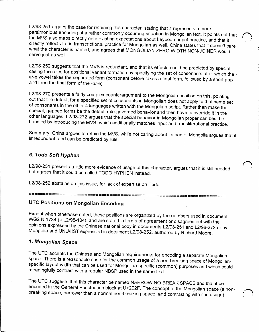L2/98-251 argues the case for retaining this character, stating that it represents a more parsimonious encoding of a rather commonly occurring situation in Mongolian text. It points out that the MVS also maps directly onto existing expectations about keyboard input practice, and that it directly reflects Latin transcriptional practice for Mongolian as well. China states that it doesn't care what the character is named, and agrees that MONGOLIAN ZERO WIDTH NON-JOINER would serve just as well.

L2/98-252 suggests that the MVS is redundant, and that its effects could be predicted by specialcasing the rules for positional variant formation by specifying the set of consonants after which the a/-e vowel takes the separated form (consonant before takes a final form, followed by a short gap and then the final form of the -a/-e).

L2/98-272 presents a fairly complex counterargument to the Mongolian position on this, pointing out that the default for a specified set of consonants in Mongolian does not apply to that same set of consonants in the other 4 languages written with the Mongolian script. Rather than make the special, gapped forms be the default rule-governed behavior and then have to override it in the other languages, L2/98-272 argues that the special behavior in Mongolian proper can best be handled by introducing the MVS, which additionally matches input and transliterational practice.

Summary: China argues to retain the MVS, while not caring about its name. Mongolia argues that it is redundant, and can be predicted by rule.

#### **6.** *Todo Soft Hyphen*

L2/98-251 presents a little more evidence of usage of this character, argues that it is still needed but agrees that it could be called TODO HYPHEN instead.

L2/98-252 abstains on this issue, for lack of expertise on Todo.

===============================

### **UTC Positions on Mongolian Encoding**

Except when otherwise noted, these positions are organized by the numbers used in document WG2 N 1734 (= L2/98-104), and are stated in terms of agreement or disagreement with the opinions expressed by the Chinese national body in documents L2/98-251 and L2/98-272 or by Mongolia and UNU/IIST expressed in document L2/98-252, authored by Richard Moore.

#### **7.** *Mongolian Space*

The UTC accepts the Chinese and Mongolian requirements for encoding a separate Mongolian space. There is a reasonable case for the common usage of a non-breaking space of Mongolianspecific layout width that can be used for Mongolian-specific (common) purposes and which could meaningfully contrast with a regular NBSP used in the same text.

The UTC suggests that this character be named NARROW NO BREAK SPACE and that it be encoded in the General Punctuation block at U+202F. The concept of the Mongolian space (a nonbreaking space, narrower than <sup>a</sup> normal non-breaking space, and contrasting with it in usage) ^ \*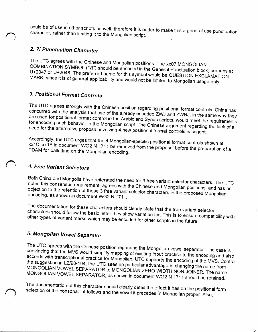could be of use in other scripts as well; therefore it is better to make this a general use punctuation character, rather than limiting it to the Mongolian script.

### 2. ?! Punctuation Character

The UTC agrees with the Chinese and Mongolian positions. The xx07 MONGOLIAN COMBINATION SYMBOL ("?!") should be encoded in the General Punctuation block, perhaps at U+2047 or U+2048. The preferred name for this symbol would be QUESTION EXCLAMATION MARK, since it is of general applicability and would not be limited to Mongolian usage only.

# 3. Positional Format Controls

The UTC agrees strongly with the Chinese position regarding positional format controls. China has concurred with the analysis that use of the already encoded ZWJ and ZWNJ, in the same way they are used for positional format control in the Arabic and Syriac scripts, would meet the requirements for encoding such behavior in the Mongolian script. The Chinese argument regarding the lack of a need for the alternative proposal involving 4 new positional format controls is cogent.

Accordingly, the UTC urges that the 4 Mongolian-specific positional format controls shown at xx1C..xx1F in document WG2 N 1711 be removed from the proposal before the preparation of a PDAM for ballotting on the Mongolian encoding.

### 4. Free Variant Selectors

Both China and Mongolia have reiterated the need for 3 free variant selector characters. The UTC notes this consensus requirement, agrees with the Chinese and Mongolian positions, and has no objection to the retention of these 3 free variant selector characters in the proposed Mongolian encoding, as shown in document WG2 N 1711.

The documentation for these characters should clearly state that the free variant selector characters should follow the basic letter they show variation for. This is to ensure compatibility with other types of variant marks which may be encoded for other scripts in the future.

# 5. Mongolian Vowel Separator

The UTC agrees with the Chinese position regarding the Mongolian vowel separator. The case is convincing that the MVS would simplify mapping of existing input practice to the encoding and also accords with transcriptional practice for Mongolian. UTC supports the encoding of the MVS. Contra the suggestion in L2/98-104, the UTC sees no particular advantage in changing the name from MONGOLIAN VOWEL SEPARATOR to MONGOLIAN ZERO WIDTH NON-JOINER. The name MONGOLIAN VOWEL SEPARATOR, as shown in document WG2 N 1711 should be retained.

The documentation of this character should clearly detail the effect it has on the positional form selection of the consonant it follows and the vowel it precedes in Mongolian proper. Also,